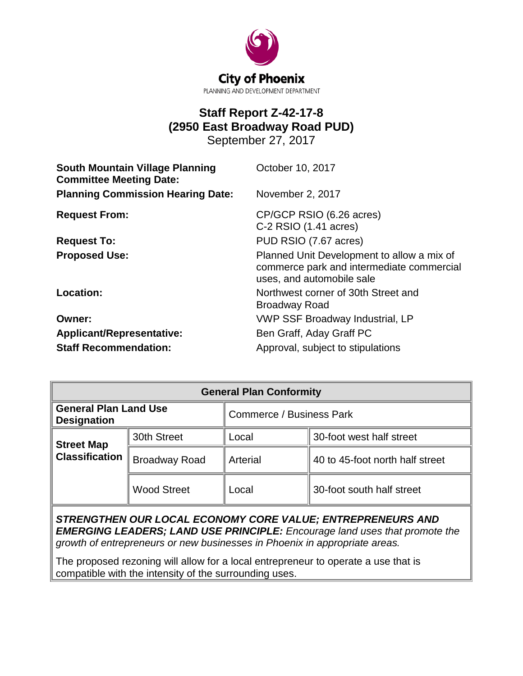

# **Staff Report Z-42-17-8 (2950 East Broadway Road PUD)**

September 27, 2017

| <b>South Mountain Village Planning</b><br><b>Committee Meeting Date:</b> | October 10, 2017                                                                                                     |  |
|--------------------------------------------------------------------------|----------------------------------------------------------------------------------------------------------------------|--|
| <b>Planning Commission Hearing Date:</b>                                 | November 2, 2017                                                                                                     |  |
| <b>Request From:</b>                                                     | CP/GCP RSIO (6.26 acres)<br>$C-2$ RSIO $(1.41$ acres)                                                                |  |
| <b>Request To:</b>                                                       | PUD RSIO (7.67 acres)                                                                                                |  |
| <b>Proposed Use:</b>                                                     | Planned Unit Development to allow a mix of<br>commerce park and intermediate commercial<br>uses, and automobile sale |  |
| Location:                                                                | Northwest corner of 30th Street and<br><b>Broadway Road</b>                                                          |  |
| Owner:                                                                   | <b>VWP SSF Broadway Industrial, LP</b>                                                                               |  |
| Applicant/Representative:                                                | Ben Graff, Aday Graff PC                                                                                             |  |
| <b>Staff Recommendation:</b>                                             | Approval, subject to stipulations                                                                                    |  |

| <b>General Plan Conformity</b>                     |                      |                                 |                                 |  |
|----------------------------------------------------|----------------------|---------------------------------|---------------------------------|--|
| <b>General Plan Land Use</b><br><b>Designation</b> |                      | <b>Commerce / Business Park</b> |                                 |  |
| <b>Street Map</b><br><b>Classification</b>         | 30th Street          | Local                           | 30-foot west half street        |  |
|                                                    | <b>Broadway Road</b> | Arterial                        | 40 to 45-foot north half street |  |
|                                                    | <b>Wood Street</b>   | Local                           | 30-foot south half street       |  |

*STRENGTHEN OUR LOCAL ECONOMY CORE VALUE; ENTREPRENEURS AND EMERGING LEADERS; LAND USE PRINCIPLE: Encourage land uses that promote the growth of entrepreneurs or new businesses in Phoenix in appropriate areas.* 

The proposed rezoning will allow for a local entrepreneur to operate a use that is compatible with the intensity of the surrounding uses.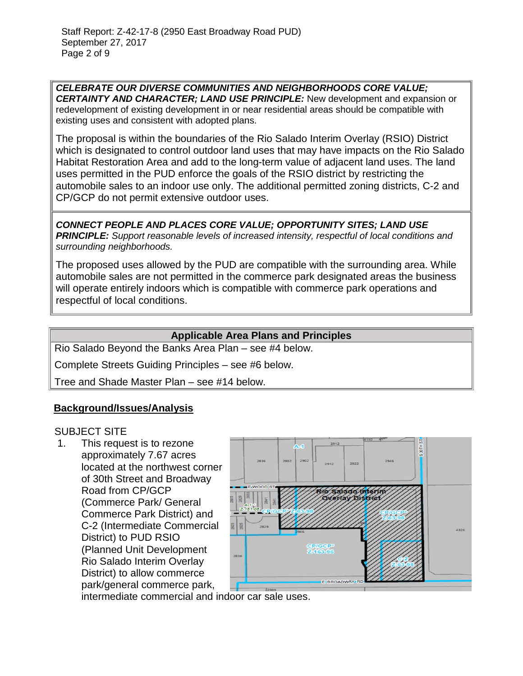*CELEBRATE OUR DIVERSE COMMUNITIES AND NEIGHBORHOODS CORE VALUE; CERTAINTY AND CHARACTER; LAND USE PRINCIPLE:* New development and expansion or redevelopment of existing development in or near residential areas should be compatible with existing uses and consistent with adopted plans.

The proposal is within the boundaries of the Rio Salado Interim Overlay (RSIO) District which is designated to control outdoor land uses that may have impacts on the Rio Salado Habitat Restoration Area and add to the long-term value of adjacent land uses. The land uses permitted in the PUD enforce the goals of the RSIO district by restricting the automobile sales to an indoor use only. The additional permitted zoning districts, C-2 and CP/GCP do not permit extensive outdoor uses.

*CONNECT PEOPLE AND PLACES CORE VALUE; OPPORTUNITY SITES; LAND USE PRINCIPLE: Support reasonable levels of increased intensity, respectful of local conditions and surrounding neighborhoods.*

The proposed uses allowed by the PUD are compatible with the surrounding area. While automobile sales are not permitted in the commerce park designated areas the business will operate entirely indoors which is compatible with commerce park operations and respectful of local conditions.

# **Applicable Area Plans and Principles**

Rio Salado Beyond the Banks Area Plan – see #4 below.

Complete Streets Guiding Principles – see #6 below.

Tree and Shade Master Plan – see #14 below.

### **Background/Issues/Analysis**

### SUBJECT SITE

1. This request is to rezone approximately 7.67 acres located at the northwest corner of 30th Street and Broadway Road from CP/GCP (Commerce Park/ General Commerce Park District) and C-2 (Intermediate Commercial District) to PUD RSIO (Planned Unit Development Rio Salado Interim Overlay District) to allow commerce park/general commerce park,



intermediate commercial and indoor car sale uses.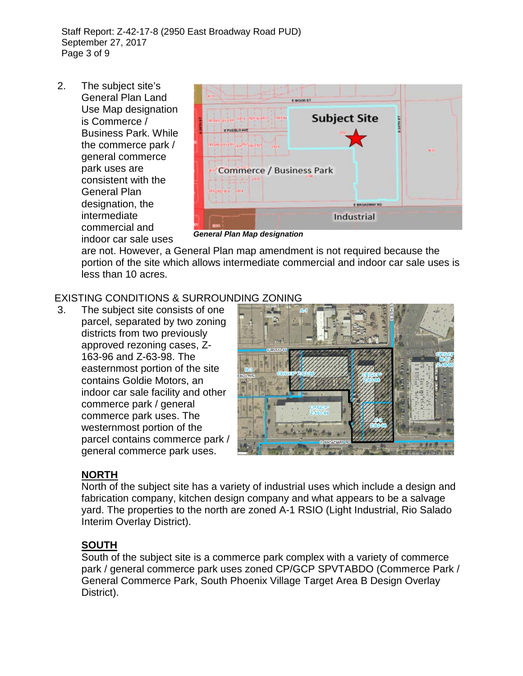Staff Report: Z-42-17-8 (2950 East Broadway Road PUD) September 27, 2017 Page 3 of 9

2. The subject site's General Plan Land Use Map designation is Commerce / Business Park. While the commerce park / general commerce park uses are consistent with the General Plan designation, the intermediate commercial and indoor car sale uses



*General Plan Map designation* 

are not. However, a General Plan map amendment is not required because the portion of the site which allows intermediate commercial and indoor car sale uses is less than 10 acres.

# EXISTING CONDITIONS & SURROUNDING ZONING

3. The subject site consists of one parcel, separated by two zoning districts from two previously approved rezoning cases, Z-163-96 and Z-63-98. The easternmost portion of the site contains Goldie Motors, an indoor car sale facility and other commerce park / general commerce park uses. The westernmost portion of the parcel contains commerce park / general commerce park uses.



# **NORTH**

North of the subject site has a variety of industrial uses which include a design and fabrication company, kitchen design company and what appears to be a salvage yard. The properties to the north are zoned A-1 RSIO (Light Industrial, Rio Salado Interim Overlay District).

# **SOUTH**

South of the subject site is a commerce park complex with a variety of commerce park / general commerce park uses zoned CP/GCP SPVTABDO (Commerce Park / General Commerce Park, South Phoenix Village Target Area B Design Overlay District).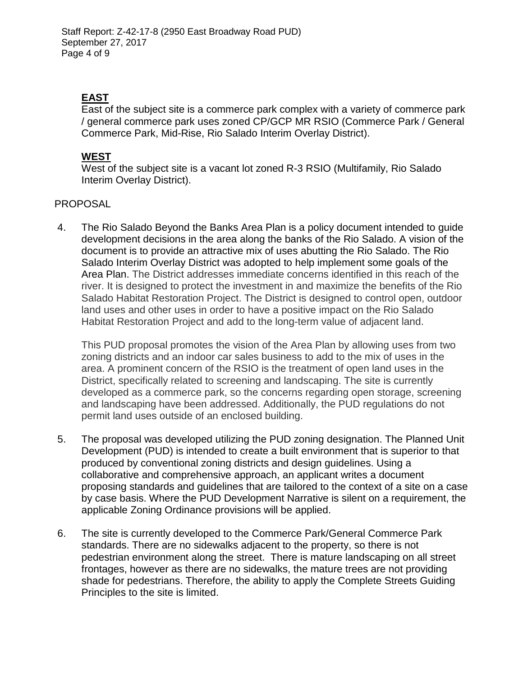# **EAST**

East of the subject site is a commerce park complex with a variety of commerce park / general commerce park uses zoned CP/GCP MR RSIO (Commerce Park / General Commerce Park, Mid-Rise, Rio Salado Interim Overlay District).

# **WEST**

West of the subject site is a vacant lot zoned R-3 RSIO (Multifamily, Rio Salado Interim Overlay District).

# PROPOSAL

4. The Rio Salado Beyond the Banks Area Plan is a policy document intended to guide development decisions in the area along the banks of the Rio Salado. A vision of the document is to provide an attractive mix of uses abutting the Rio Salado. The Rio Salado Interim Overlay District was adopted to help implement some goals of the Area Plan. The District addresses immediate concerns identified in this reach of the river. It is designed to protect the investment in and maximize the benefits of the Rio Salado Habitat Restoration Project. The District is designed to control open, outdoor land uses and other uses in order to have a positive impact on the Rio Salado Habitat Restoration Project and add to the long-term value of adjacent land.

This PUD proposal promotes the vision of the Area Plan by allowing uses from two zoning districts and an indoor car sales business to add to the mix of uses in the area. A prominent concern of the RSIO is the treatment of open land uses in the District, specifically related to screening and landscaping. The site is currently developed as a commerce park, so the concerns regarding open storage, screening and landscaping have been addressed. Additionally, the PUD regulations do not permit land uses outside of an enclosed building.

- 5. The proposal was developed utilizing the PUD zoning designation. The Planned Unit Development (PUD) is intended to create a built environment that is superior to that produced by conventional zoning districts and design guidelines. Using a collaborative and comprehensive approach, an applicant writes a document proposing standards and guidelines that are tailored to the context of a site on a case by case basis. Where the PUD Development Narrative is silent on a requirement, the applicable Zoning Ordinance provisions will be applied.
- 6. The site is currently developed to the Commerce Park/General Commerce Park standards. There are no sidewalks adjacent to the property, so there is not pedestrian environment along the street. There is mature landscaping on all street frontages, however as there are no sidewalks, the mature trees are not providing shade for pedestrians. Therefore, the ability to apply the Complete Streets Guiding Principles to the site is limited.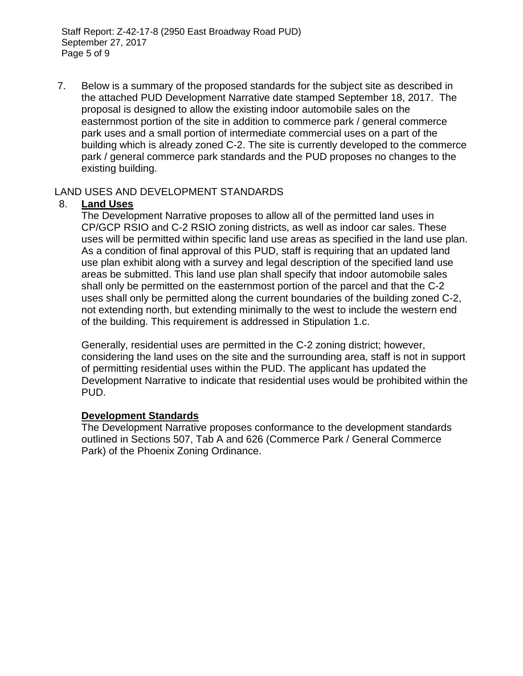Staff Report: Z-42-17-8 (2950 East Broadway Road PUD) September 27, 2017 Page 5 of 9

7. Below is a summary of the proposed standards for the subject site as described in the attached PUD Development Narrative date stamped September 18, 2017. The proposal is designed to allow the existing indoor automobile sales on the easternmost portion of the site in addition to commerce park / general commerce park uses and a small portion of intermediate commercial uses on a part of the building which is already zoned C-2. The site is currently developed to the commerce park / general commerce park standards and the PUD proposes no changes to the existing building.

### LAND USES AND DEVELOPMENT STANDARDS

# 8. **Land Uses**

The Development Narrative proposes to allow all of the permitted land uses in CP/GCP RSIO and C-2 RSIO zoning districts, as well as indoor car sales. These uses will be permitted within specific land use areas as specified in the land use plan. As a condition of final approval of this PUD, staff is requiring that an updated land use plan exhibit along with a survey and legal description of the specified land use areas be submitted. This land use plan shall specify that indoor automobile sales shall only be permitted on the easternmost portion of the parcel and that the C-2 uses shall only be permitted along the current boundaries of the building zoned C-2, not extending north, but extending minimally to the west to include the western end of the building. This requirement is addressed in Stipulation 1.c.

Generally, residential uses are permitted in the C-2 zoning district; however, considering the land uses on the site and the surrounding area, staff is not in support of permitting residential uses within the PUD. The applicant has updated the Development Narrative to indicate that residential uses would be prohibited within the PUD.

### **Development Standards**

The Development Narrative proposes conformance to the development standards outlined in Sections 507, Tab A and 626 (Commerce Park / General Commerce Park) of the Phoenix Zoning Ordinance.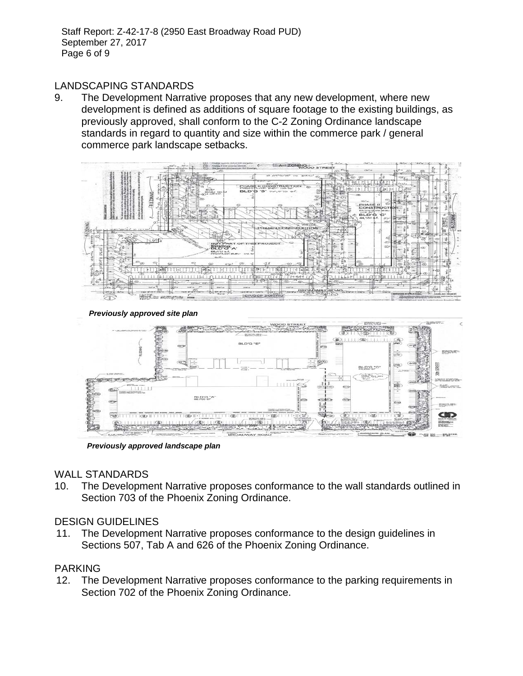Staff Report: Z-42-17-8 (2950 East Broadway Road PUD) September 27, 2017 Page 6 of 9

### LANDSCAPING STANDARDS

9. The Development Narrative proposes that any new development, where new development is defined as additions of square footage to the existing buildings, as previously approved, shall conform to the C-2 Zoning Ordinance landscape standards in regard to quantity and size within the commerce park / general commerce park landscape setbacks.



*Previously approved site plan*



*Previously approved landscape plan*

#### WALL STANDARDS

10. The Development Narrative proposes conformance to the wall standards outlined in Section 703 of the Phoenix Zoning Ordinance.

### DESIGN GUIDELINES

11. The Development Narrative proposes conformance to the design guidelines in Sections 507, Tab A and 626 of the Phoenix Zoning Ordinance.

### PARKING

12. The Development Narrative proposes conformance to the parking requirements in Section 702 of the Phoenix Zoning Ordinance.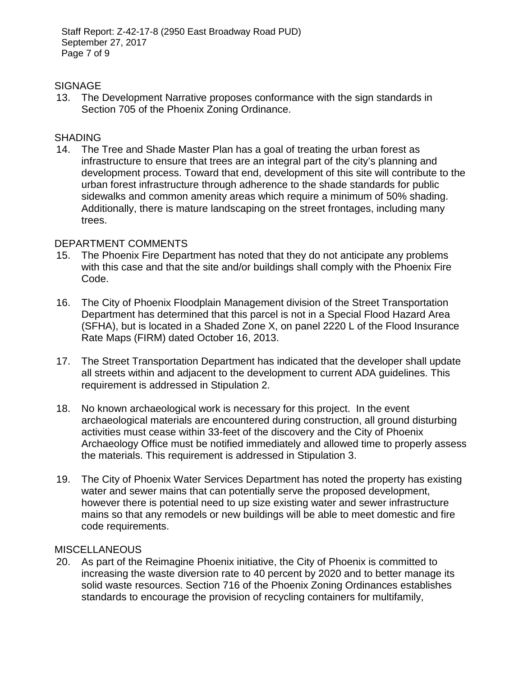Staff Report: Z-42-17-8 (2950 East Broadway Road PUD) September 27, 2017 Page 7 of 9

### **SIGNAGE**

13. The Development Narrative proposes conformance with the sign standards in Section 705 of the Phoenix Zoning Ordinance.

### SHADING

14. The Tree and Shade Master Plan has a goal of treating the urban forest as infrastructure to ensure that trees are an integral part of the city's planning and development process. Toward that end, development of this site will contribute to the urban forest infrastructure through adherence to the shade standards for public sidewalks and common amenity areas which require a minimum of 50% shading. Additionally, there is mature landscaping on the street frontages, including many trees.

#### DEPARTMENT COMMENTS

- 15. The Phoenix Fire Department has noted that they do not anticipate any problems with this case and that the site and/or buildings shall comply with the Phoenix Fire Code.
- 16. The City of Phoenix Floodplain Management division of the Street Transportation Department has determined that this parcel is not in a Special Flood Hazard Area (SFHA), but is located in a Shaded Zone X, on panel 2220 L of the Flood Insurance Rate Maps (FIRM) dated October 16, 2013.
- 17. The Street Transportation Department has indicated that the developer shall update all streets within and adjacent to the development to current ADA guidelines. This requirement is addressed in Stipulation 2.
- 18. No known archaeological work is necessary for this project. In the event archaeological materials are encountered during construction, all ground disturbing activities must cease within 33-feet of the discovery and the City of Phoenix Archaeology Office must be notified immediately and allowed time to properly assess the materials. This requirement is addressed in Stipulation 3.
- 19. The City of Phoenix Water Services Department has noted the property has existing water and sewer mains that can potentially serve the proposed development, however there is potential need to up size existing water and sewer infrastructure mains so that any remodels or new buildings will be able to meet domestic and fire code requirements.

### **MISCELLANEOUS**

20. As part of the Reimagine Phoenix initiative, the City of Phoenix is committed to increasing the waste diversion rate to 40 percent by 2020 and to better manage its solid waste resources. Section 716 of the Phoenix Zoning Ordinances establishes standards to encourage the provision of recycling containers for multifamily,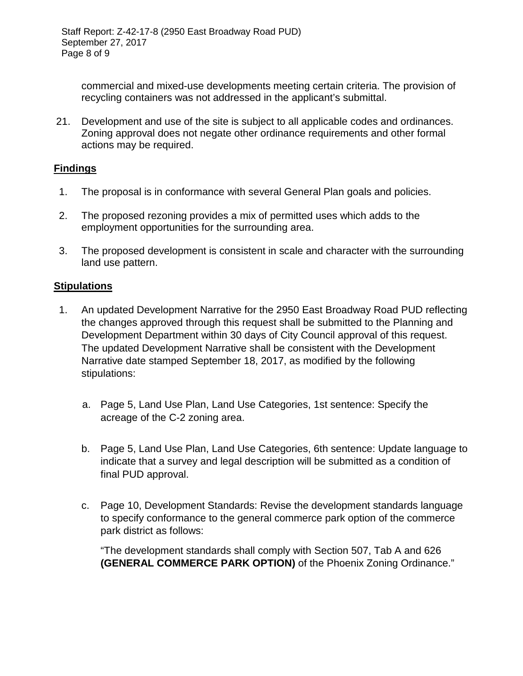commercial and mixed-use developments meeting certain criteria. The provision of recycling containers was not addressed in the applicant's submittal.

21. Development and use of the site is subject to all applicable codes and ordinances. Zoning approval does not negate other ordinance requirements and other formal actions may be required.

# **Findings**

- 1. The proposal is in conformance with several General Plan goals and policies.
- 2. The proposed rezoning provides a mix of permitted uses which adds to the employment opportunities for the surrounding area.
- 3. The proposed development is consistent in scale and character with the surrounding land use pattern.

# **Stipulations**

- 1. An updated Development Narrative for the 2950 East Broadway Road PUD reflecting the changes approved through this request shall be submitted to the Planning and Development Department within 30 days of City Council approval of this request. The updated Development Narrative shall be consistent with the Development Narrative date stamped September 18, 2017, as modified by the following stipulations:
	- a. Page 5, Land Use Plan, Land Use Categories, 1st sentence: Specify the acreage of the C-2 zoning area.
	- b. Page 5, Land Use Plan, Land Use Categories, 6th sentence: Update language to indicate that a survey and legal description will be submitted as a condition of final PUD approval.
	- c. Page 10, Development Standards: Revise the development standards language to specify conformance to the general commerce park option of the commerce park district as follows:

"The development standards shall comply with Section 507, Tab A and 626 **(GENERAL COMMERCE PARK OPTION)** of the Phoenix Zoning Ordinance."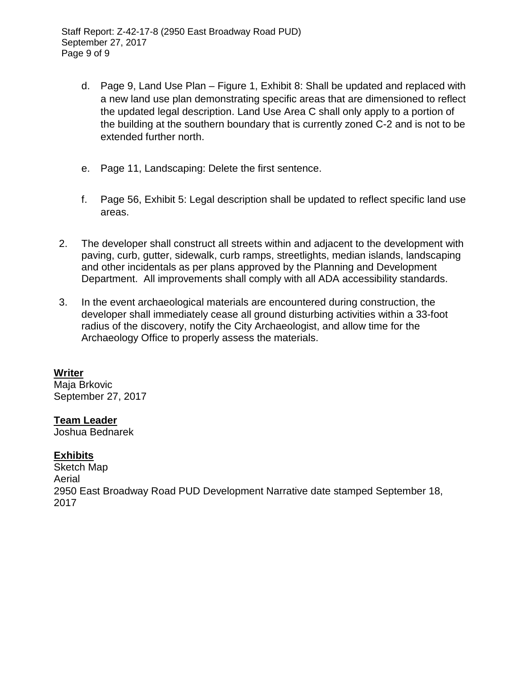- d. Page 9, Land Use Plan Figure 1, Exhibit 8: Shall be updated and replaced with a new land use plan demonstrating specific areas that are dimensioned to reflect the updated legal description. Land Use Area C shall only apply to a portion of the building at the southern boundary that is currently zoned C-2 and is not to be extended further north.
- e. Page 11, Landscaping: Delete the first sentence.
- f. Page 56, Exhibit 5: Legal description shall be updated to reflect specific land use areas.
- 2. The developer shall construct all streets within and adjacent to the development with paving, curb, gutter, sidewalk, curb ramps, streetlights, median islands, landscaping and other incidentals as per plans approved by the Planning and Development Department. All improvements shall comply with all ADA accessibility standards.
- 3. In the event archaeological materials are encountered during construction, the developer shall immediately cease all ground disturbing activities within a 33-foot radius of the discovery, notify the City Archaeologist, and allow time for the Archaeology Office to properly assess the materials.

# **Writer**

Maja Brkovic September 27, 2017

# **Team Leader**

Joshua Bednarek

# **Exhibits**

Sketch Map Aerial 2950 East Broadway Road PUD Development Narrative date stamped September 18, 2017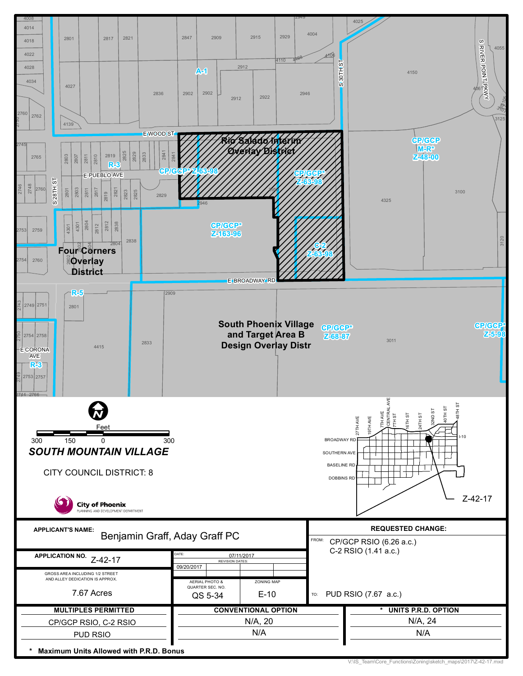